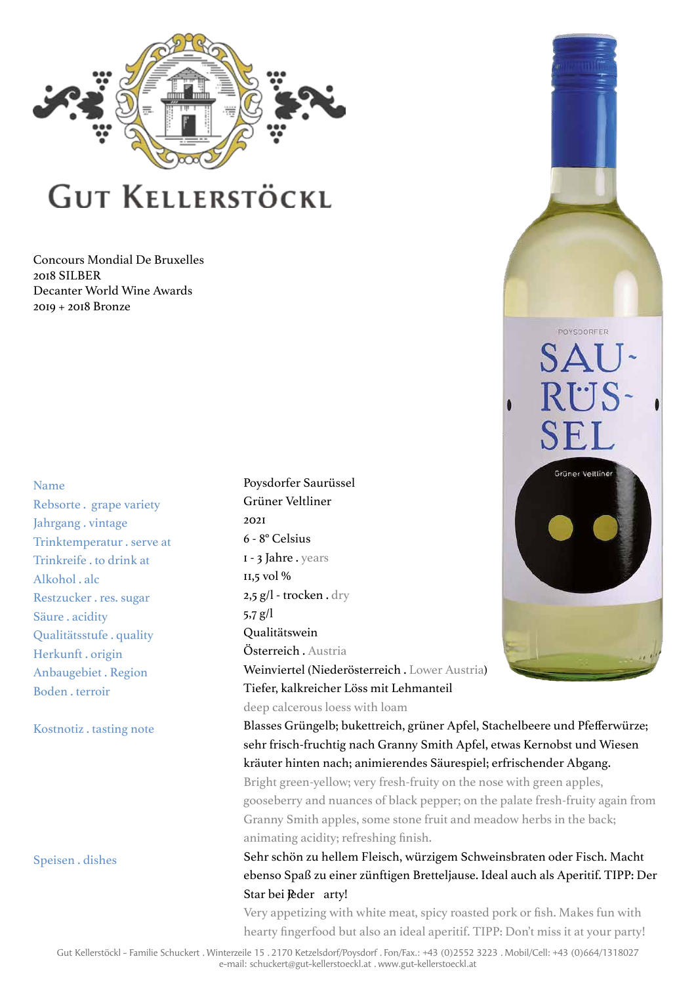

Concours Mondial De Bruxelles 2018 SILBER Decanter World Wine Awards 2019 + 2018 Bronze

#### Name

Rebsorte . grape variety Jahrgang . vintage Trinktemperatur . serve at Trinkreife . to drink at Alkohol . alc Restzucker . res. sugar Säure . acidity Qualitätsstufe . quality Herkunft . origin Anbaugebiet . Region Boden . terroir

Kostnotiz . tasting note

Speisen . dishes

Poysdorfer Saurüssel Grüner Veltliner 2021 6 - 8° Celsius 1 - 3 Jahre . years 11,5 vol % 2,5 g/l - trocken . dry 5,7 g/l Qualitätswein Österreich . Austria Weinviertel (Niederösterreich . Lower Austria) Tiefer, kalkreicher Löss mit Lehmanteil deep calcerous loess with loam

Blasses Grüngelb; bukettreich, grüner Apfel, Stachelbeere und Pfefferwürze; sehr frisch-fruchtig nach Granny Smith Apfel, etwas Kernobst und Wiesen kräuter hinten nach; animierendes Säurespiel; erfrischender Abgang. Bright green-yellow; very fresh-fruity on the nose with green apples, gooseberry and nuances of black pepper; on the palatefresh-fruity again from

POYSDORFER

 $S\Delta$ 

RI.JS

SF.

Grüner Veitline

Granny Smith apples, some stone fruit and meadow herbs in the back; animating acidity; refreshing finish.

Sehr schön zu hellem Fleisch, würzigem Schweinsbraten oder Fisch. Macht ebenso Spaß zu einer zünftigen Bretteljause. Ideal auch als Aperitif. TIPP: Der Star bei Peder arty!

Very appetizing with white meat, spicy roasted pork or fish. Makes fun with hearty fingerfood but also an ideal aperitif. TIPP: Don't miss it at your party!

Gut Kellerstöckl - Familie Schuckert . Winterzeile 15 . 2170 Ketzelsdorf/Poysdorf . Fon/Fax.: +43 (0)2552 3223 . Mobil/Cell: +43 (0)664/1318027 e-mail: schuckert@gut-kellerstoeckl.at . www.gut-kellerstoeckl.at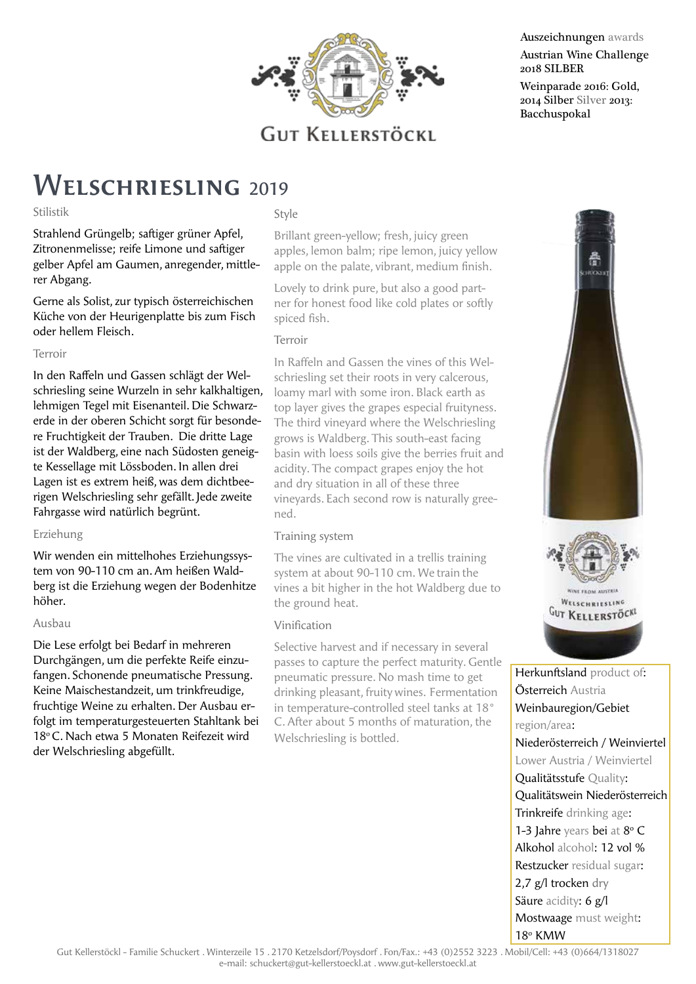

#### Auszeichnungen awards Austrian Wine Challenge 2018 SILBER

Weinparade 2016: Gold, 2014 Silber Silver 2013: Bacchuspokal

### WELSCHRIESLING 2019

#### Stilistik

Strahlend Grüngelb; saftiger grüner Apfel, Zitronenmelisse; reife Limone und saftiger gelber Apfel am Gaumen, anregender, mittlerer Abgang.

Gerne als Solist, zur typisch österreichischen Küche von der Heurigenplatte bis zum Fisch oder hellem Fleisch.

#### Terroir

In den Raffeln und Gassen schlägt der Welschriesling seine Wurzeln in sehr kalkhaltigen, lehmigen Tegel mit Eisenanteil. Die Schwarzerde in der oberen Schicht sorgt für besondere Fruchtigkeit der Trauben. Die dritte Lage ist der Waldberg, eine nach Südosten geneigte Kessellage mit Lössboden. In allen drei Lagen ist es extrem heiß, was dem dichtbeerigen Welschriesling sehr gefällt. Jede zweite Fahrgasse wird natürlich begrünt.

#### Erziehung

Wir wenden ein mittelhohes Erziehungssystem von 90-110 cm an. Am heißen Waldberg ist die Erziehung wegen der Bodenhitze höher.

#### Ausbau

Die Lese erfolgt bei Bedarf in mehreren Durchgängen, um die perfekte Reife einzufangen. Schonende pneumatische Pressung. Keine Maischestandzeit, um trinkfreudige, fruchtige Weine zu erhalten. Der Ausbau erfolgt im temperaturgesteuerten Stahltank bei 18<sup>°</sup> C. Nach etwa 5 Monaten Reifezeit wird der Welschriesling abgefüllt.

Style

Brillant green-yellow; fresh, juicy green apples, lemon balm; ripe lemon, juicy yellow apple on the palate, vibrant, medium finish.

Lovely to drink pure, but also a good partner for honest food like cold plates or softly spiced fish.

#### Terroir

In Raffeln and Gassen the vines of this Welschriesling set their roots in very calcerous, loamy marl with some iron. Black earth as top layer gives the grapes especial fruityness. The third vineyard where the Welschriesling grows is Waldberg. This south-east facing basin with loess soils give the berries fruit and acidity. The compact grapes enjoy the hot and dry situation in all of these three vineyards. Each second row is naturally greened.

#### Training system

The vines are cultivated in a trellis training system at about 90-110 cm. We train the vines a bit higher in the hot Waldberg due to the ground heat.

#### Vinification

Selective harvest and if necessary in several passes to capture the perfect maturity. Gentle pneumatic pressure. No mash time to get drinking pleasant, fruity wines. Fermentation in temperature-controlled steel tanks at 18° C. After about 5 months of maturation, the Welschriesling is bottled.



Herkunftsland product of: Österreich Austria Weinbauregion/Gebiet region/area: Niederösterreich / Weinviertel Lower Austria / Weinviertel Qualitätsstufe Quality: Qualitätswein Niederösterreich Trinkreife drinking age: 1-3 Jahre years bei at 8° C Alkohol alcohol: 12 vol % Restzucker residual sugar: 2,7 g/l trocken dry Säure acidity: 6 g/l Mostwaage must weight: 18° KMW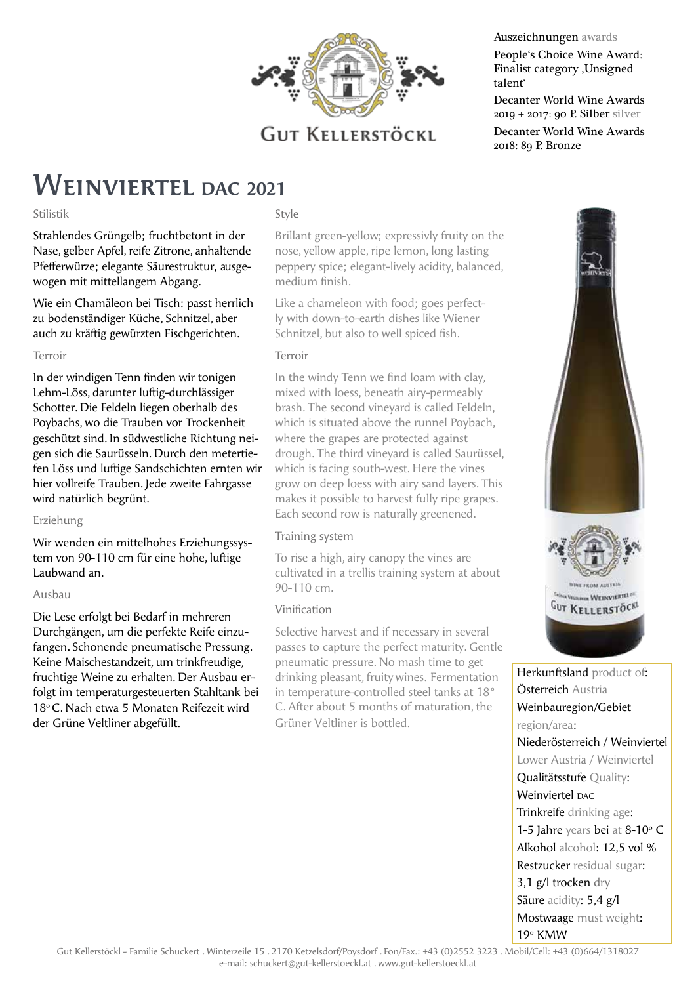

#### Auszeichnungen awards

People's Choice Wine Award: Finalist category , Unsigned talent'

Decanter World Wine Awards 2019 + 2017: 90 P. Silber silver Decanter World Wine Awards 2018: 89 P. Bronze

### Weinviertel **DAC <sup>2021</sup>**

#### Stilistik

Strahlendes Grüngelb; fruchtbetont in der Nase, gelber Apfel, reife Zitrone, anhaltende Pfefferwürze; elegante Säurestruktur, ausgewogen mit mittellangem Abgang.

Wie ein Chamäleon bei Tisch: passt herrlich zu bodenständiger Küche, Schnitzel, aber auch zu kräftig gewürzten Fischgerichten.

#### Terroir

In der windigen Tenn finden wir tonigen Lehm-Löss, darunter luftig-durchlässiger Schotter. Die Feldeln liegen oberhalb des Poybachs, wo die Trauben vor Trockenheit geschützt sind. In südwestliche Richtung neigen sich die Saurüsseln. Durch den metertiefen Löss und luftige Sandschichten ernten wir hier vollreife Trauben. Jede zweite Fahrgasse wird natürlich begrünt.

#### Erziehung

Wir wenden ein mittelhohes Erziehungssystem von 90-110 cm für eine hohe, luftige Laubwand an.

#### Ausbau

Die Lese erfolgt bei Bedarf in mehreren Durchgängen, um die perfekte Reife einzufangen. Schonende pneumatische Pressung. Keine Maischestandzeit, um trinkfreudige, fruchtige Weine zu erhalten. Der Ausbau erfolgt im temperaturgesteuerten Stahltank bei 18o C. Nach etwa 5 Monaten Reifezeit wird der Grüne Veltliner abgefüllt.

#### Style

Brillant green-yellow; expressivly fruity on the nose, yellow apple, ripe lemon, long lasting peppery spice; elegant-lively acidity, balanced, medium finish.

Like a chameleon with food; goes perfectly with down-to-earth dishes like Wiener Schnitzel, but also to well spiced fish.

#### Terroir

In the windy Tenn we find loam with clay, mixed with loess, beneath airy-permeably brash. The second vineyard is called Feldeln, which is situated above the runnel Poybach, where the grapes are protected against drough. The third vineyard is called Saurüssel, which is facing south-west. Here the vines grow on deep loess with airy sand layers. This makes it possible to harvest fully ripe grapes. Each second row is naturally greenened.

#### Training system

To rise a high, airy canopy the vines are cultivated in a trellis training system at about 90-110 cm.

#### Vinification

Selective harvest and if necessary in several passes to capture the perfect maturity. Gentle pneumatic pressure. No mash time to get drinking pleasant, fruity wines. Fermentation in temperature-controlled steel tanks at 18° C. After about 5 months of maturation, the Grüner Veltliner is bottled.



Herkunftsland product of: Österreich Austria Weinbauregion/Gebiet region/area: Niederösterreich / Weinviertel Lower Austria / Weinviertel Qualitätsstufe Quality: Weinviertel DAC Trinkreife drinking age: 1-5 Jahre years bei at  $8-10$ °C Alkohol alcohol: 12,5 vol % Restzucker residual sugar: 3,1 g/l trocken dry Säure acidity: 5,4 g/l Mostwaage must weight: 19<sup>°</sup> KMW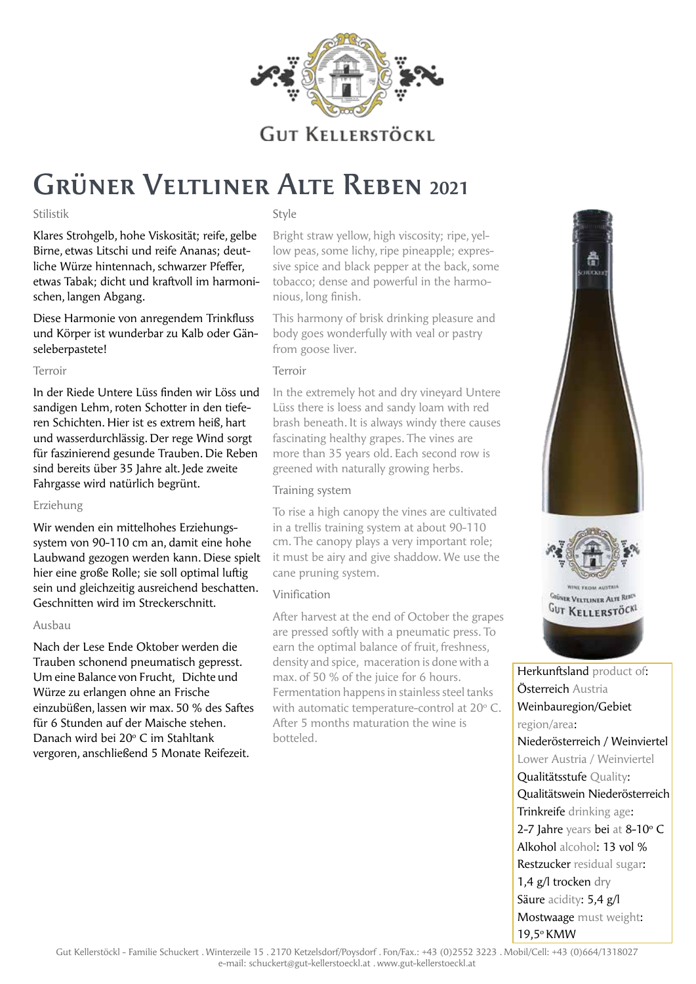

# Grüner Veltliner Alte Reben **<sup>2021</sup>**

#### Stilistik

Klares Strohgelb, hohe Viskosität; reife, gelbe Birne, etwas Litschi und reife Ananas; deutliche Würze hintennach, schwarzer Pfeffer, etwas Tabak; dicht und kraftvoll im harmonischen, langen Abgang.

Diese Harmonie von anregendem Trinkfluss und Körper ist wunderbar zu Kalb oder Gänseleberpastete!

#### Terroir

In der Riede Untere Lüss finden wir Löss und sandigen Lehm, roten Schotter in den tieferen Schichten. Hier ist es extrem heiß, hart und wasserdurchlässig. Der rege Wind sorgt für faszinierend gesunde Trauben. Die Reben sind bereits über 35 Jahre alt. Jede zweite Fahrgasse wird natürlich begrünt.

#### Erziehung

Wir wenden ein mittelhohes Erziehungssystem von 90-110 cm an, damit eine hohe Laubwand gezogen werden kann. Diese spielt hier eine große Rolle; sie soll optimal luftig sein und gleichzeitig ausreichend beschatten. Geschnitten wird im Streckerschnitt.

#### Ausbau

Nach der Lese Ende Oktober werden die Trauben schonend pneumatisch gepresst. Um eine Balance von Frucht, Dichte und Würze zu erlangen ohne an Frische einzubüßen, lassen wir max. 50 % des Saftes für 6 Stunden auf der Maische stehen. Danach wird bei 20° C im Stahltank vergoren, anschließend 5 Monate Reifezeit.

#### Style

Bright straw yellow, high viscosity; ripe, yellow peas, some lichy, ripe pineapple; expressive spice and black pepper at the back, some tobacco; dense and powerful in the harmonious, long finish.

This harmony of brisk drinking pleasure and body goes wonderfully with veal or pastry from goose liver.

#### Terroir

In the extremely hot and dry vineyard Untere Lüss there is loess and sandy loam with red brash beneath. It is always windy there causes fascinating healthy grapes. The vines are more than 35 years old. Each second row is greened with naturally growing herbs.

#### Training system

To rise a high canopy the vines are cultivated in a trellis training system at about 90-110 cm. The canopy plays a very important role; it must be airy and give shaddow. We use the cane pruning system.

#### Vinification

After harvest at the end of October the grapes are pressed softly with a pneumatic press. To earn the optimal balance of fruit, freshness, density and spice, maceration is done with a max. of 50 % of the juice for 6 hours. Fermentation happens in stainless steel tanks with automatic temperature-control at  $20^{\circ}$  C. After 5 months maturation the wine is botteled.



Herkunftsland product of: Österreich Austria Weinbauregion/Gebiet region/area: Niederösterreich / Weinviertel Lower Austria / Weinviertel Qualitätsstufe Quality: Qualitätswein Niederösterreich Trinkreife drinking age:  $2-7$  Jahre years bei at  $8-10$ °C Alkohol alcohol: 13 vol % Restzucker residual sugar: 1,4 g/l trocken dry Säure acidity: 5,4 g/l Mostwaage must weight: 19,5o KMW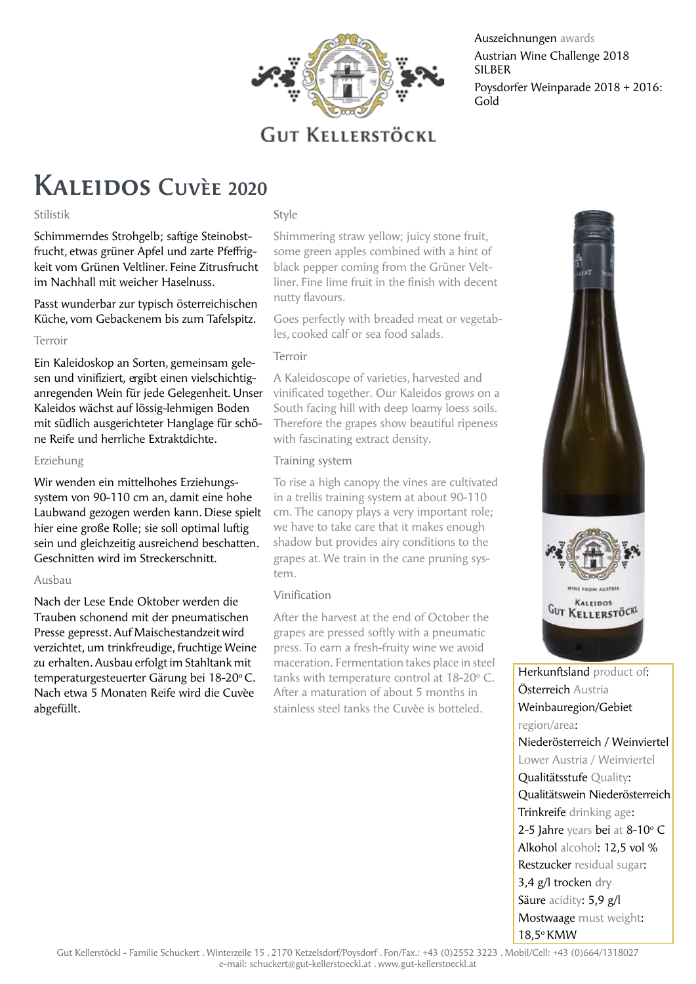

Auszeichnungen awards Austrian Wine Challenge 2018 SILBER Poysdorfer Weinparade 2018 + 2016: Gold

### Kaleidos Cuvèe **<sup>2020</sup>**

#### Stilistik

Style

Schimmerndes Strohgelb; saftige Steinobstfrucht, etwas grüner Apfel und zarte Pfeffrigkeit vom Grünen Veltliner. Feine Zitrusfrucht im Nachhall mit weicher Haselnuss.

Passt wunderbar zur typisch österreichischen Küche, vom Gebackenem bis zum Tafelspitz.

#### Terroir

Ein Kaleidoskop an Sorten, gemeinsam gelesen und vinifiziert, ergibt einen vielschichtiganregenden Wein für jede Gelegenheit. Unser Kaleidos wächst auf lössig-lehmigen Boden mit südlich ausgerichteter Hanglage für schöne Reife und herrliche Extraktdichte.

#### Erziehung

Wir wenden ein mittelhohes Erziehungssystem von 90-110 cm an, damit eine hohe Laubwand gezogen werden kann. Diese spielt hier eine große Rolle; sie soll optimal luftig sein und gleichzeitig ausreichend beschatten. Geschnitten wird im Streckerschnitt.

#### Ausbau

Nach der Lese Ende Oktober werden die Trauben schonend mit der pneumatischen Presse gepresst. Auf Maischestandzeit wird verzichtet, um trinkfreudige, fruchtige Weine zu erhalten. Ausbau erfolgt im Stahltank mit temperaturgesteuerter Gärung bei 18-20°C. Nach etwa 5 Monaten Reife wird die Cuvèe abgefüllt.

Shimmering straw yellow; juicy stone fruit, some green apples combined with a hint of black pepper coming from the Grüner Veltliner. Fine lime fruit in the finish with decent nutty flavours.

Goes perfectly with breaded meat or vegetables, cooked calf or sea food salads.

#### Terroir

A Kaleidoscope of varieties, harvested and vinificated together. Our Kaleidos grows on a South facing hill with deep loamy loess soils. Therefore the grapes show beautiful ripeness with fascinating extract density.

#### Training system

To rise a high canopy the vines are cultivated in a trellis training system at about 90-110 cm. The canopy plays a very important role; we have to take care that it makes enough shadow but provides airy conditions to the grapes at. We train in the cane pruning system.

#### Vinification

After the harvest at the end of October the grapes are pressed softly with a pneumatic press. To earn a fresh-fruity wine we avoid maceration. Fermentation takes place in steel tanks with temperature control at  $18-20$  °C. After a maturation of about 5 months in stainless steel tanks the Cuvèe is botteled.



Österreich Austria Weinbauregion/Gebiet region/area: Niederösterreich / Weinviertel Lower Austria / Weinviertel Qualitätsstufe Quality: Qualitätswein Niederösterreich Trinkreife drinking age:  $2-5$  Jahre years bei at 8-10 $\degree$  C Alkohol alcohol: 12,5 vol % Restzucker residual sugar: 3,4 g/l trocken dry Säure acidity: 5,9 g/l Mostwaage must weight: 18,5o KMW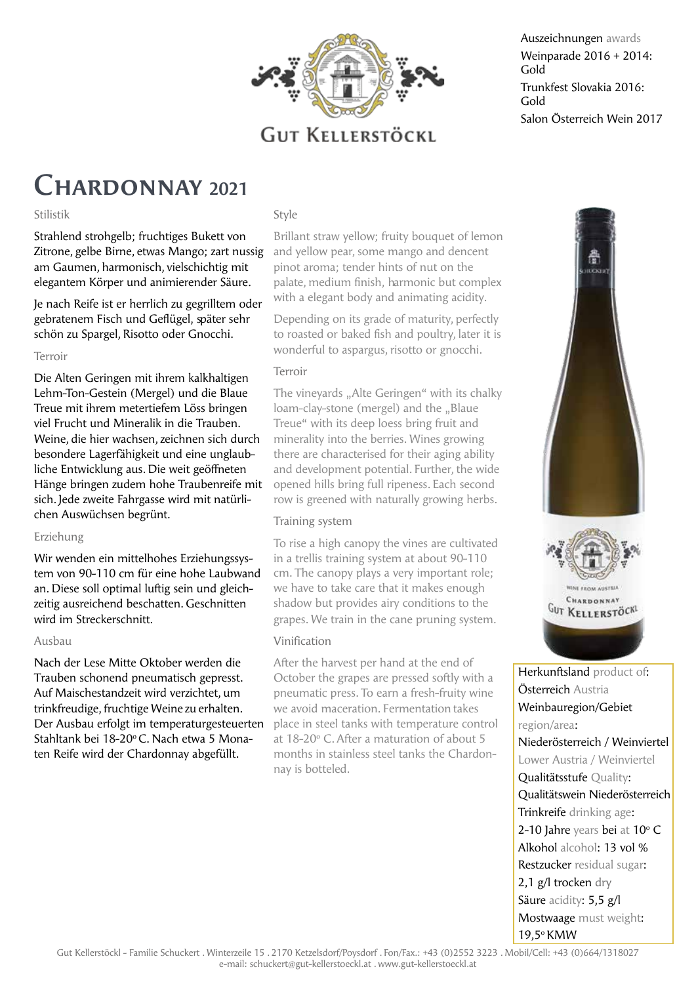

Auszeichnungen awards Weinparade 2016 + 2014: Gold Trunkfest Slovakia 2016: Gold Salon Österreich Wein 2017

### Chardonnay **<sup>2021</sup>**

#### Stilistik

Strahlend strohgelb; fruchtiges Bukett von Zitrone, gelbe Birne, etwas Mango; zart nussig am Gaumen, harmonisch, vielschichtig mit elegantem Körper und animierender Säure.

Je nach Reife ist er herrlich zu gegrilltem oder gebratenem Fisch und Geflügel, später sehr schön zu Spargel, Risotto oder Gnocchi.

#### Terroir

Die Alten Geringen mit ihrem kalkhaltigen Lehm-Ton-Gestein (Mergel) und die Blaue Treue mit ihrem metertiefem Löss bringen viel Frucht und Mineralik in die Trauben. Weine, die hier wachsen, zeichnen sich durch besondere Lagerfähigkeit und eine unglaubliche Entwicklung aus. Die weit geöffneten Hänge bringen zudem hohe Traubenreife mit sich. Jede zweite Fahrgasse wird mit natürlichen Auswüchsen begrünt.

#### Erziehung

Wir wenden ein mittelhohes Erziehungssystem von 90-110 cm für eine hohe Laubwand an. Diese soll optimal luftig sein und gleichzeitig ausreichend beschatten. Geschnitten wird im Streckerschnitt.

#### Ausbau

Nach der Lese Mitte Oktober werden die Trauben schonend pneumatisch gepresst. Auf Maischestandzeit wird verzichtet, um trinkfreudige, fruchtige Weine zu erhalten. Der Ausbau erfolgt im temperaturgesteuerten Stahltank bei 18-20<sup>o</sup> C. Nach etwa 5 Monaten Reife wird der Chardonnay abgefüllt.

#### Style

Brillant straw yellow; fruity bouquet of lemon and yellow pear, some mango and dencent pinot aroma; tender hints of nut on the palate, medium finish, harmonic but complex with a elegant body and animating acidity.

Depending on its grade of maturity, perfectly to roasted or baked fish and poultry, later it is wonderful to aspargus, risotto or gnocchi.

#### Terroir

The vinevards ..Alte Geringen" with its chalky loam-clay-stone (mergel) and the "Blaue Treue" with its deep loess bring fruit and minerality into the berries. Wines growing there are characterised for their aging ability and development potential. Further, the wide opened hills bring full ripeness. Each second row is greened with naturally growing herbs.

#### Training system

To rise a high canopy the vines are cultivated in a trellis training system at about 90-110 cm. The canopy plays a very important role; we have to take care that it makes enough shadow but provides airy conditions to the grapes. We train in the cane pruning system.

#### Vinification

After the harvest per hand at the end of October the grapes are pressed softly with a pneumatic press. To earn a fresh-fruity wine we avoid maceration. Fermentation takes place in steel tanks with temperature control at 18-20° C. After a maturation of about 5 months in stainless steel tanks the Chardonnay is botteled.



Herkunftsland product of: Österreich Austria Weinbauregion/Gebiet region/area: Niederösterreich / Weinviertel Lower Austria / Weinviertel Qualitätsstufe Quality: Qualitätswein Niederösterreich Trinkreife drinking age:  $2-10$  Jahre years bei at  $10^{\circ}$  C Alkohol alcohol: 13 vol % Restzucker residual sugar: 2,1 g/l trocken dry Säure acidity: 5,5 g/l Mostwaage must weight: 19,5o KMW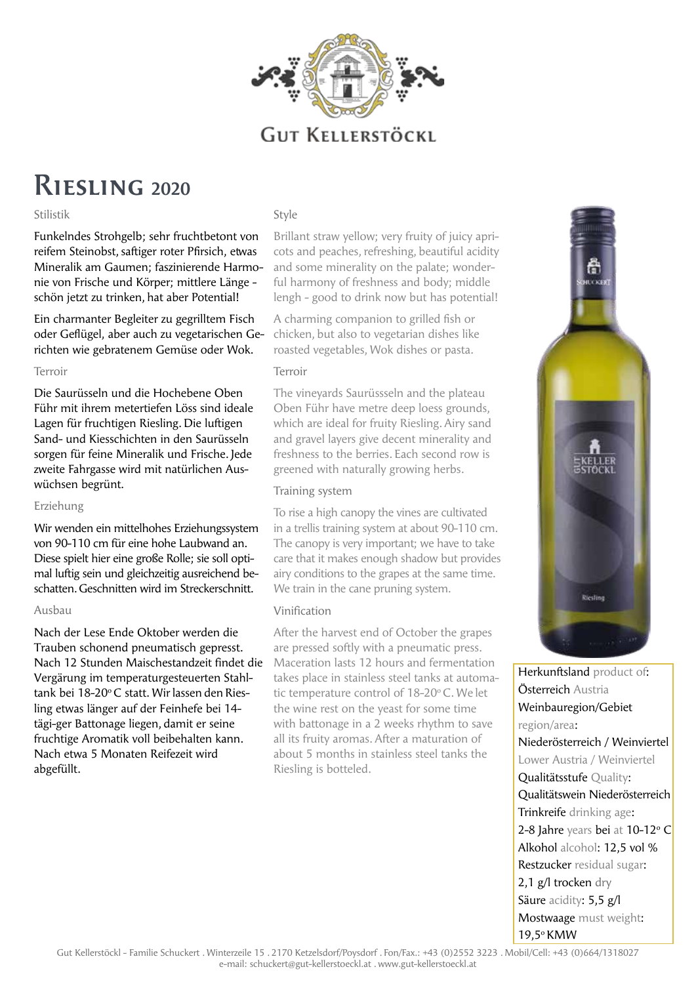

## Riesling **<sup>2020</sup>**

#### Stilistik

Funkelndes Strohgelb; sehr fruchtbetont von reifem Steinobst, saftiger roter Pfirsich, etwas Mineralik am Gaumen; faszinierende Harmonie von Frische und Körper; mittlere Länge schön jetzt zu trinken, hat aber Potential!

Ein charmanter Begleiter zu gegrilltem Fisch oder Geflügel, aber auch zu vegetarischen Gerichten wie gebratenem Gemüse oder Wok.

#### Terroir

Die Saurüsseln und die Hochebene Oben Führ mit ihrem metertiefen Löss sind ideale Lagen für fruchtigen Riesling. Die luftigen Sand- und Kiesschichten in den Saurüsseln sorgen für feine Mineralik und Frische. Jede zweite Fahrgasse wird mit natürlichen Auswüchsen begrünt.

#### Erziehung

Wir wenden ein mittelhohes Erziehungssystem von 90-110 cm für eine hohe Laubwand an. Diese spielt hier eine große Rolle; sie soll optimal luftig sein und gleichzeitig ausreichend beschatten. Geschnitten wird im Streckerschnitt.

#### Ausbau

Nach der Lese Ende Oktober werden die Trauben schonend pneumatisch gepresst. Nach 12 Stunden Maischestandzeit findet die Vergärung im temperaturgesteuerten Stahltank bei 18-20°C statt. Wir lassen den Riesling etwas länger auf der Feinhefe bei 14 tägi-ger Battonage liegen, damit er seine fruchtige Aromatik voll beibehalten kann. Nach etwa 5 Monaten Reifezeit wird abgefüllt.

#### Style

Brillant straw yellow; very fruity of juicy apricots and peaches, refreshing, beautiful acidity and some minerality on the palate; wonderful harmony of freshness and body; middle lengh - good to drink now but has potential!

A charming companion to grilled fish or chicken, but also to vegetarian dishes like roasted vegetables, Wok dishes or pasta.

#### Terroir

The vineyards Saurüssseln and the plateau Oben Führ have metre deep loess grounds, which are ideal for fruity Riesling. Airy sand and gravel layers give decent minerality and freshness to the berries. Each second row is greened with naturally growing herbs.

#### Training system

To rise a high canopy the vines are cultivated in a trellis training system at about 90-110 cm. The canopy is very important; we have to take care that it makes enough shadow but provides airy conditions to the grapes at the same time. We train in the cane pruning system.

#### Vinification

After the harvest end of October the grapes are pressed softly with a pneumatic press. Maceration lasts 12 hours and fermentation takes place in stainless steel tanks at automatic temperature control of 18-20°C. We let the wine rest on the yeast for some time with battonage in a 2 weeks rhythm to save all its fruity aromas. After a maturation of about 5 months in stainless steel tanks the Riesling is botteled.



Herkunftsland product of: Österreich Austria Weinbauregion/Gebiet region/area: Niederösterreich / Weinviertel Lower Austria / Weinviertel Qualitätsstufe Quality: Qualitätswein Niederösterreich Trinkreife drinking age: 2-8 Jahre years bei at 10-12° C Alkohol alcohol: 12,5 vol % Restzucker residual sugar: 2,1 g/l trocken dry Säure acidity: 5,5 g/l Mostwaage must weight: 19,5o KMW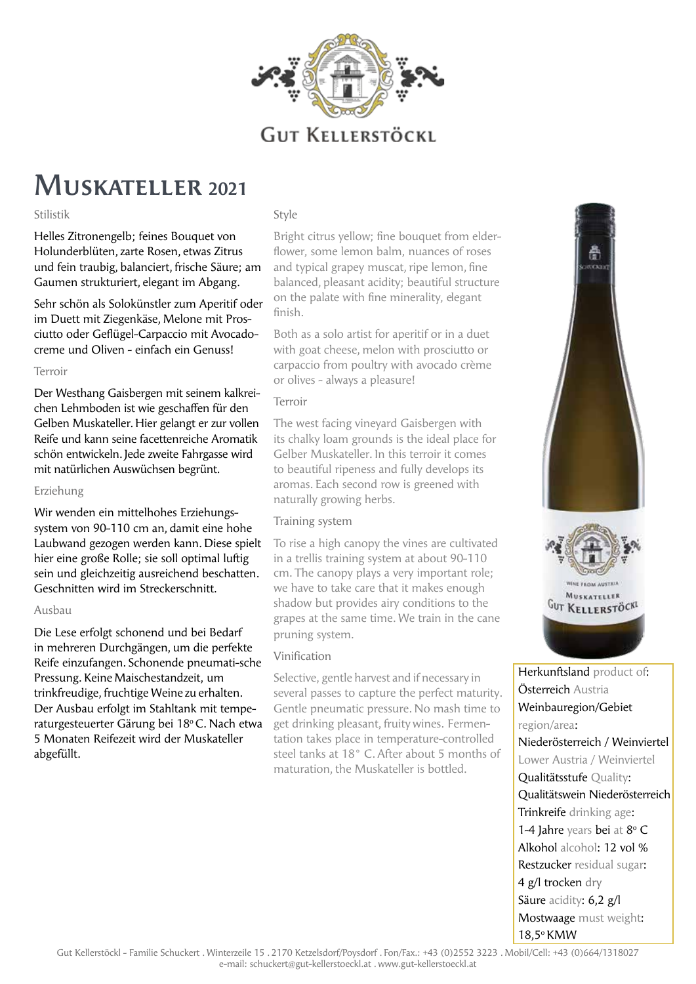

### Muskateller **<sup>2021</sup>**

#### Stilistik

Helles Zitronengelb; feines Bouquet von Holunderblüten, zarte Rosen, etwas Zitrus und fein traubig, balanciert, frische Säure; am Gaumen strukturiert, elegant im Abgang.

Sehr schön als Solokünstler zum Aperitif oder im Duett mit Ziegenkäse, Melone mit Prosciutto oder Geflügel-Carpaccio mit Avocadocreme und Oliven - einfach ein Genuss!

#### Terroir

Der Westhang Gaisbergen mit seinem kalkreichen Lehmboden ist wie geschaffen für den Gelben Muskateller. Hier gelangt er zur vollen Reife und kann seine facettenreiche Aromatik schön entwickeln. Jede zweite Fahrgasse wird mit natürlichen Auswüchsen begrünt.

#### Erziehung

Wir wenden ein mittelhohes Erziehungssystem von 90-110 cm an, damit eine hohe Laubwand gezogen werden kann. Diese spielt hier eine große Rolle; sie soll optimal luftig sein und gleichzeitig ausreichend beschatten. Geschnitten wird im Streckerschnitt.

#### Ausbau

Die Lese erfolgt schonend und bei Bedarf in mehreren Durchgängen, um die perfekte Reife einzufangen. Schonende pneumati-sche Pressung. Keine Maischestandzeit, um trinkfreudige, fruchtige Weine zu erhalten. Der Ausbau erfolgt im Stahltank mit temperaturgesteuerter Gärung bei 18°C. Nach etwa 5 Monaten Reifezeit wird der Muskateller abgefüllt.

#### Style

Bright citrus yellow; fine bouquet from elderflower, some lemon balm, nuances of roses and typical grapey muscat, ripe lemon, fine balanced, pleasant acidity; beautiful structure on the palate with fine minerality, elegant finish.

Both as a solo artist for aperitif or in a duet with goat cheese, melon with prosciutto or carpaccio from poultry with avocado crème or olives - always a pleasure!

#### Terroir

The west facing vineyard Gaisbergen with its chalky loam grounds is the ideal place for Gelber Muskateller. In this terroir it comes to beautiful ripeness and fully develops its aromas. Each second row is greened with naturally growing herbs.

#### Training system

To rise a high canopy the vines are cultivated in a trellis training system at about 90-110 cm. The canopy plays a very important role; we have to take care that it makes enough shadow but provides airy conditions to the grapes at the same time. We train in the cane pruning system.

#### Vinification

Selective, gentle harvest and if necessary in several passes to capture the perfect maturity. Gentle pneumatic pressure. No mash time to get drinking pleasant, fruity wines. Fermentation takes place in temperature-controlled steel tanks at 18° C. After about 5 months of maturation, the Muskateller is bottled.



Herkunftsland product of: Österreich Austria Weinbauregion/Gebiet region/area: Niederösterreich / Weinviertel Lower Austria / Weinviertel Qualitätsstufe Quality: Qualitätswein Niederösterreich Trinkreife drinking age: 1-4 Jahre years bei at 8° C Alkohol alcohol: 12 vol % Restzucker residual sugar: 4 g/l trocken dry Säure acidity: 6,2 g/l Mostwaage must weight: 18,5o KMW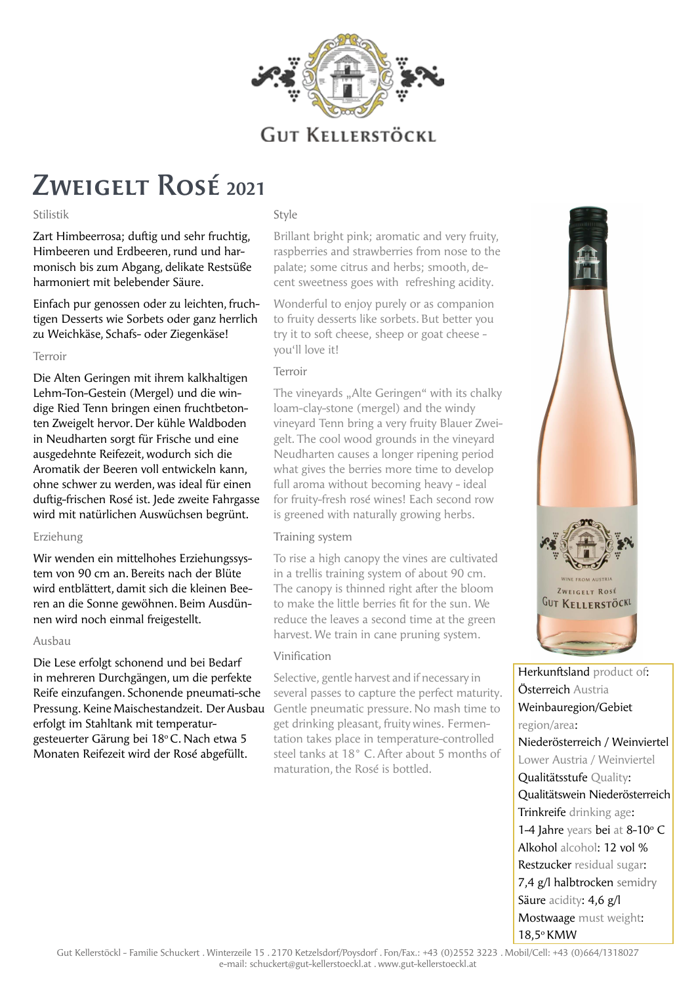

# Zweigelt Rosé **<sup>2021</sup>**

#### Stilistik

Zart Himbeerrosa; duftig und sehr fruchtig, Himbeeren und Erdbeeren, rund und harmonisch bis zum Abgang, delikate Restsüße harmoniert mit belebender Säure.

Einfach pur genossen oder zu leichten, fruchtigen Desserts wie Sorbets oder ganz herrlich zu Weichkäse, Schafs- oder Ziegenkäse!

#### Terroir

Die Alten Geringen mit ihrem kalkhaltigen Lehm-Ton-Gestein (Mergel) und die windige Ried Tenn bringen einen fruchtbetonten Zweigelt hervor. Der kühle Waldboden in Neudharten sorgt für Frische und eine ausgedehnte Reifezeit, wodurch sich die Aromatik der Beeren voll entwickeln kann, ohne schwer zu werden, was ideal für einen duftig-frischen Rosé ist. Jede zweite Fahrgasse wird mit natürlichen Auswüchsen begrünt.

#### Erziehung

Wir wenden ein mittelhohes Erziehungssystem von 90 cm an. Bereits nach der Blüte wird entblättert, damit sich die kleinen Beeren an die Sonne gewöhnen. Beim Ausdünnen wird noch einmal freigestellt.

#### Ausbau

Die Lese erfolgt schonend und bei Bedarf in mehreren Durchgängen, um die perfekte Reife einzufangen. Schonende pneumati-sche Pressung. Keine Maischestandzeit. Der Ausbau erfolgt im Stahltank mit temperaturgesteuerter Gärung bei 18°C. Nach etwa 5 Monaten Reifezeit wird der Rosé abgefüllt.

#### Style

Brillant bright pink; aromatic and very fruity, raspberries and strawberries from nose to the palate; some citrus and herbs; smooth, decent sweetness goes with refreshing acidity.

Wonderful to enjoy purely or as companion to fruity desserts like sorbets. But better you try it to soft cheese, sheep or goat cheese you'll love it!

#### Terroir

The vinevards ..Alte Geringen" with its chalky loam-clay-stone (mergel) and the windy vineyard Tenn bring a very fruity Blauer Zweigelt. The cool wood grounds in the vineyard Neudharten causes a longer ripening period what gives the berries more time to develop full aroma without becoming heavy - ideal for fruity-fresh rosé wines! Each second row is greened with naturally growing herbs.

#### Training system

To rise a high canopy the vines are cultivated in a trellis training system of about 90 cm. The canopy is thinned right after the bloom to make the little berries fit for the sun. We reduce the leaves a second time at the green harvest. We train in cane pruning system.

#### Vinification

Selective, gentle harvest and if necessary in several passes to capture the perfect maturity. Gentle pneumatic pressure. No mash time to get drinking pleasant, fruity wines. Fermentation takes place in temperature-controlled steel tanks at 18° C. After about 5 months of maturation, the Rosé is bottled.



Herkunftsland product of: Österreich Austria Weinbauregion/Gebiet region/area: Niederösterreich / Weinviertel Lower Austria / Weinviertel Qualitätsstufe Quality: Qualitätswein Niederösterreich Trinkreife drinking age: 1-4 Jahre years bei at  $8-10$ °C Alkohol alcohol: 12 vol % Restzucker residual sugar: 7,4 g/l halbtrocken semidry Säure acidity: 4,6 g/l Mostwaage must weight: 18,5o KMW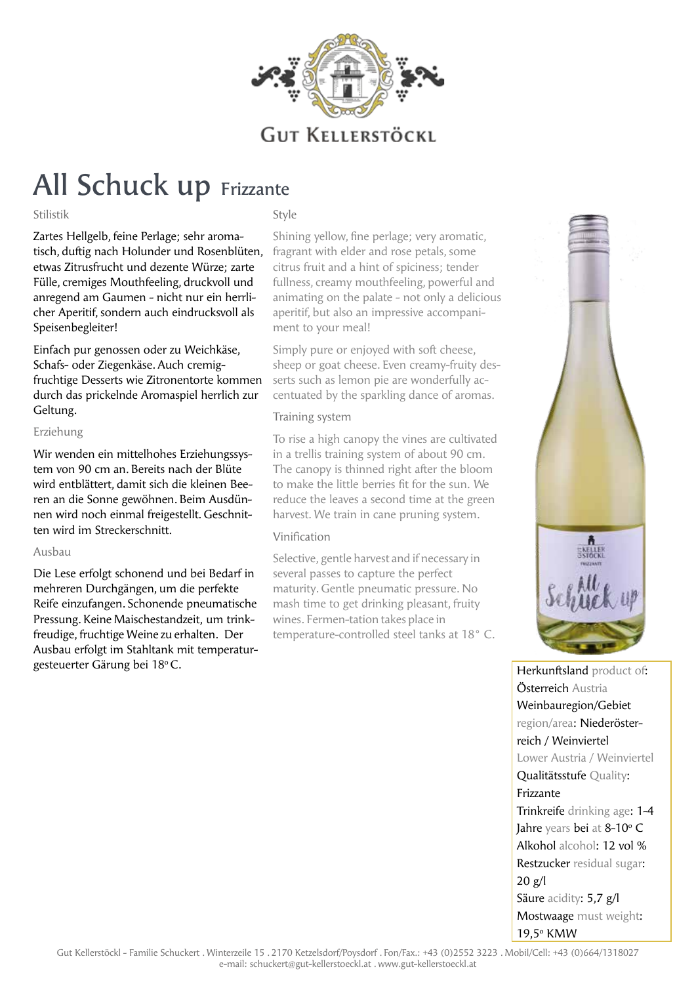

# All Schuck up Frizzante

#### Stilistik

Style

Zartes Hellgelb, feine Perlage; sehr aromatisch, duftig nach Holunder und Rosenblüten, etwas Zitrusfrucht und dezente Würze; zarte Fülle, cremiges Mouthfeeling, druckvoll und anregend am Gaumen - nicht nur ein herrlicher Aperitif, sondern auch eindrucksvoll als Speisenbegleiter!

Einfach pur genossen oder zu Weichkäse, Schafs- oder Ziegenkäse. Auch cremigfruchtige Desserts wie Zitronentorte kommen durch das prickelnde Aromaspiel herrlich zur Geltung.

#### Erziehung

Wir wenden ein mittelhohes Erziehungssystem von 90 cm an. Bereits nach der Blüte wird entblättert, damit sich die kleinen Beeren an die Sonne gewöhnen. Beim Ausdünnen wird noch einmal freigestellt. Geschnitten wird im Streckerschnitt.

#### Ausbau

Die Lese erfolgt schonend und bei Bedarf in mehreren Durchgängen, um die perfekte Reife einzufangen. Schonende pneumatische Pressung. Keine Maischestandzeit, um trinkfreudige, fruchtige Weine zu erhalten. Der Ausbau erfolgt im Stahltank mit temperaturgesteuerter Gärung bei 18°C.

Shining yellow, fine perlage; very aromatic, fragrant with elder and rose petals, some citrus fruit and a hint of spiciness; tender fullness, creamy mouthfeeling, powerful and animating on the palate - not only a delicious aperitif, but also an impressive accompaniment to your meal!

Simply pure or enjoyed with soft cheese, sheep or goat cheese. Even creamy-fruity desserts such as lemon pie are wonderfully accentuated by the sparkling dance of aromas.

#### Training system

To rise a high canopy the vines are cultivated in a trellis training system of about 90 cm. The canopy is thinned right after the bloom to make the little berries fit for the sun. We reduce the leaves a second time at the green harvest. We train in cane pruning system.

#### Vinification

Selective, gentle harvest and if necessary in several passes to capture the perfect maturity. Gentle pneumatic pressure. No mash time to get drinking pleasant, fruity wines. Fermen-tation takes place in temperature-controlled steel tanks at 18° C.



Herkunftsland product of: Österreich Austria Weinbauregion/Gebiet region/area: Niederösterreich / Weinviertel Lower Austria / Weinviertel Qualitätsstufe Quality: Frizzante Trinkreife drinking age: 1-4 **Jahre** years **bei** at 8-10° C Alkohol alcohol: 12 vol % Restzucker residual sugar:  $20 g/l$ Säure acidity: 5,7 g/l Mostwaage must weight: 19,5° KMW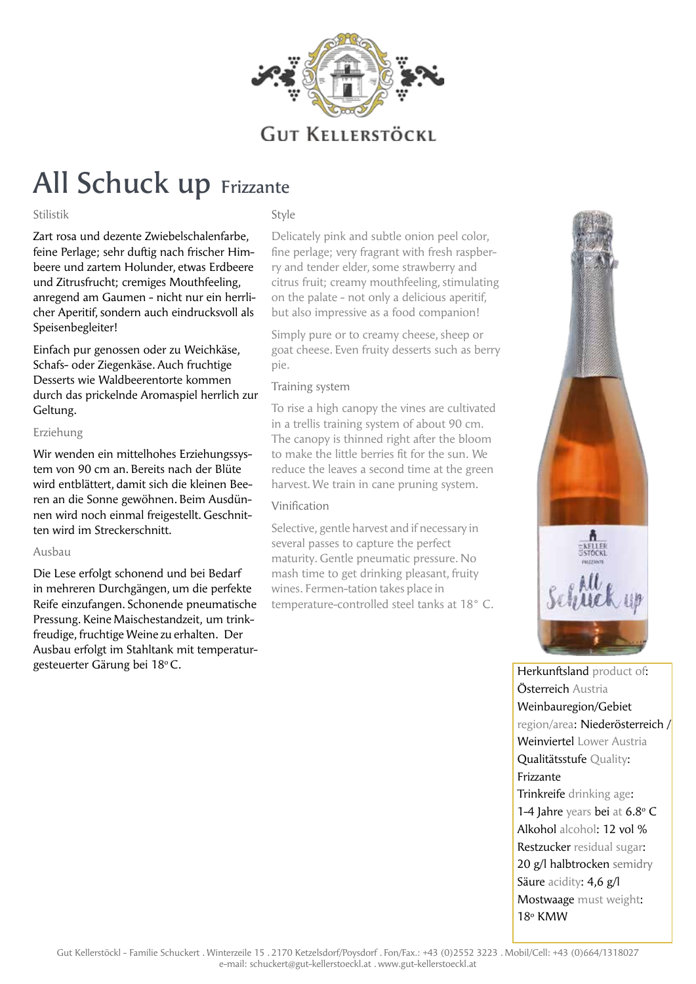

# All Schuck up Frizzante

#### Stilistik

Style

Zart rosa und dezente Zwiebelschalenfarbe, feine Perlage; sehr duftig nach frischer Himbeere und zartem Holunder, etwas Erdbeere und Zitrusfrucht; cremiges Mouthfeeling, anregend am Gaumen - nicht nur ein herrlicher Aperitif, sondern auch eindrucksvoll als Speisenbegleiter!

Einfach pur genossen oder zu Weichkäse, Schafs- oder Ziegenkäse. Auch fruchtige Desserts wie Waldbeerentorte kommen durch das prickelnde Aromaspiel herrlich zur Geltung.

#### Erziehung

Wir wenden ein mittelhohes Erziehungssystem von 90 cm an. Bereits nach der Blüte wird entblättert, damit sich die kleinen Beeren an die Sonne gewöhnen. Beim Ausdünnen wird noch einmal freigestellt. Geschnitten wird im Streckerschnitt.

#### Ausbau

Die Lese erfolgt schonend und bei Bedarf in mehreren Durchgängen, um die perfekte Reife einzufangen. Schonende pneumatische Pressung. Keine Maischestandzeit, um trinkfreudige, fruchtige Weine zu erhalten. Der Ausbau erfolgt im Stahltank mit temperaturgesteuerter Gärung bei 18°C.

Delicately pink and subtle onion peel color, fine perlage; very fragrant with fresh raspberry and tender elder, some strawberry and citrus fruit; creamy mouthfeeling, stimulating on the palate - not only a delicious aperitif, but also impressive as a food companion!

Simply pure or to creamy cheese, sheep or goat cheese. Even fruity desserts such as berry pie.

#### Training system

To rise a high canopy the vines are cultivated in a trellis training system of about 90 cm. The canopy is thinned right after the bloom to make the little berries fit for the sun. We reduce the leaves a second time at the green harvest. We train in cane pruning system.

#### Vinification

Selective, gentle harvest and if necessary in several passes to capture the perfect maturity. Gentle pneumatic pressure. No mash time to get drinking pleasant, fruity wines. Fermen-tation takes place in temperature-controlled steel tanks at 18° C.



Herkunftsland product of: Österreich Austria Weinbauregion/Gebiet region/area: Niederösterreich / Weinviertel Lower Austria Qualitätsstufe Quality: Frizzante Trinkreife drinking age: 1-4 Jahre years bei at 6.8°C Alkohol alcohol: 12 vol % Restzucker residual sugar: 20 g/l halbtrocken semidry Säure acidity: 4,6 g/l Mostwaage must weight: 18° KMW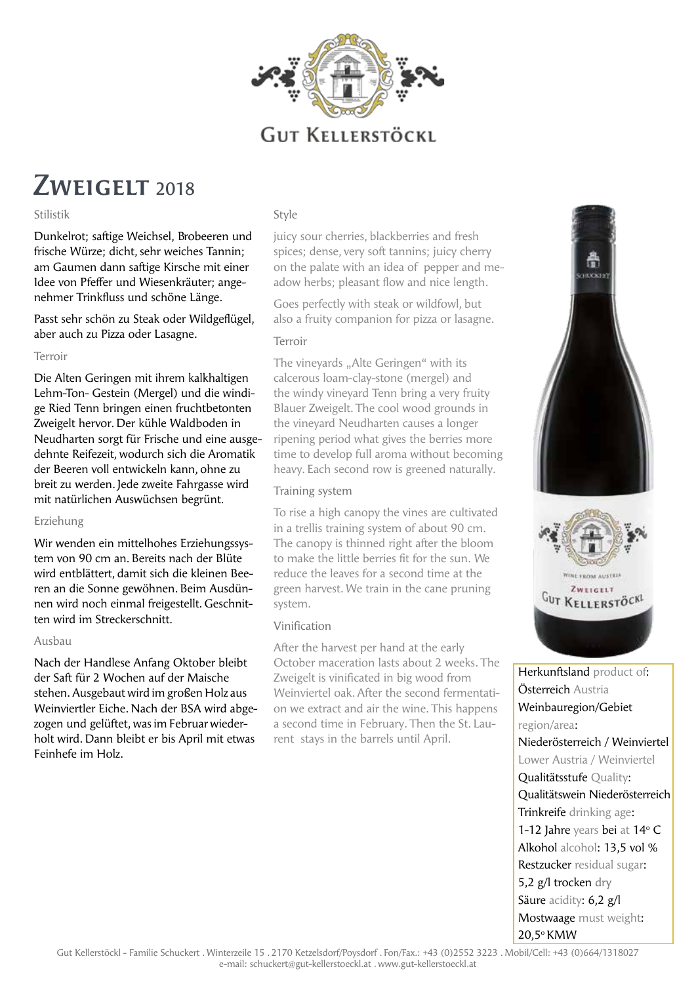

# ZWEIGELT 2018

#### Stilistik

Dunkelrot; saftige Weichsel, Brobeeren und frische Würze; dicht, sehr weiches Tannin; am Gaumen dann saftige Kirsche mit einer Idee von Pfeffer und Wiesenkräuter; angenehmer Trinkfluss und schöne Länge.

Passt sehr schön zu Steak oder Wildgeflügel, aber auch zu Pizza oder Lasagne.

#### Terroir

Die Alten Geringen mit ihrem kalkhaltigen Lehm-Ton- Gestein (Mergel) und die windige Ried Tenn bringen einen fruchtbetonten Zweigelt hervor. Der kühle Waldboden in Neudharten sorgt für Frische und eine ausgedehnte Reifezeit, wodurch sich die Aromatik der Beeren voll entwickeln kann, ohne zu breit zu werden. Jede zweite Fahrgasse wird mit natürlichen Auswüchsen begrünt.

#### Erziehung

Wir wenden ein mittelhohes Erziehungssystem von 90 cm an. Bereits nach der Blüte wird entblättert, damit sich die kleinen Beeren an die Sonne gewöhnen. Beim Ausdünnen wird noch einmal freigestellt. Geschnitten wird im Streckerschnitt.

#### Ausbau

Nach der Handlese Anfang Oktober bleibt der Saft für 2 Wochen auf der Maische stehen. Ausgebaut wird im großen Holz aus Weinviertler Eiche. Nach der BSA wird abgezogen und gelüftet, was im Februar wiederholt wird. Dann bleibt er bis April mit etwas Feinhefe im Holz.

#### Style

juicy sour cherries, blackberries and fresh spices; dense, very soft tannins; juicy cherry on the palate with an idea of pepper and meadow herbs; pleasant flow and nice length.

Goes perfectly with steak or wildfowl, but also a fruity companion for pizza or lasagne.

#### Terroir

The vineyards "Alte Geringen" with its calcerous loam-clay-stone (mergel) and the windy vineyard Tenn bring a very fruity Blauer Zweigelt. The cool wood grounds in the vineyard Neudharten causes a longer ripening period what gives the berries more time to develop full aroma without becoming heavy. Each second row is greened naturally.

#### Training system

To rise a high canopy the vines are cultivated in a trellis training system of about 90 cm. The canopy is thinned right after the bloom to make the little berries fit for the sun. We reduce the leaves for a second time at the green harvest. We train in the cane pruning system.

#### Vinification

After the harvest per hand at the early October maceration lasts about 2 weeks. The Zweigelt is vinificated in big wood from Weinviertel oak. After the second fermentation we extract and air the wine. This happens a second time in February. Then the St. Laurent stays in the barrels until April.



Österreich Austria Weinbauregion/Gebiet region/area: Niederösterreich / Weinviertel Lower Austria / Weinviertel Qualitätsstufe Quality: Qualitätswein Niederösterreich Trinkreife drinking age: 1-12 Jahre years bei at 14° C Alkohol alcohol: 13,5 vol % Restzucker residual sugar: 5,2 g/l trocken dry Säure acidity: 6,2 g/l Mostwaage must weight: 20,5o KMW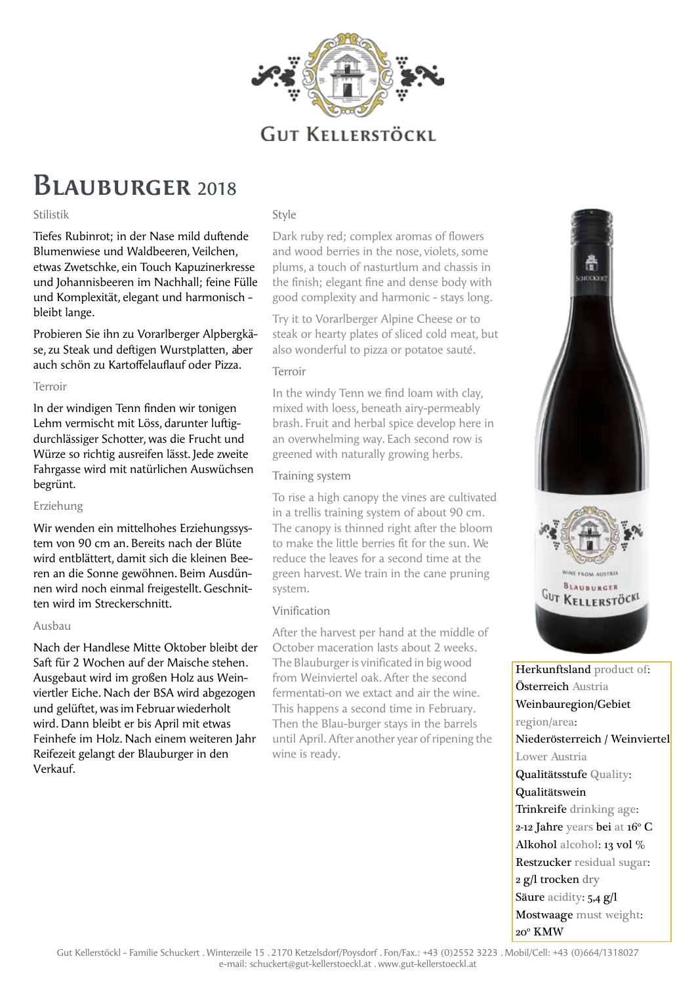

### Blauburger <sup>2018</sup>

#### Stilistik

Tiefes Rubinrot; in der Nase mild duftende Blumenwiese und Waldbeeren, Veilchen, etwas Zwetschke, ein Touch Kapuzinerkresse und Johannisbeeren im Nachhall; feine Fülle und Komplexität, elegant und harmonisch bleibt lange.

Probieren Sie ihn zu Vorarlberger Alpbergkäse, zu Steak und deftigen Wurstplatten, aber auch schön zu Kartoffelauflauf oder Pizza.

#### Terroir

In der windigen Tenn finden wir tonigen Lehm vermischt mit Löss, darunter luftigdurchlässiger Schotter, was die Frucht und Würze so richtig ausreifen lässt. Jede zweite Fahrgasse wird mit natürlichen Auswüchsen begrünt.

#### Erziehung

Wir wenden ein mittelhohes Erziehungssystem von 90 cm an. Bereits nach der Blüte wird entblättert, damit sich die kleinen Beeren an die Sonne gewöhnen. Beim Ausdünnen wird noch einmal freigestellt. Geschnitten wird im Streckerschnitt.

#### Ausbau

Nach der Handlese Mitte Oktober bleibt der Saft für 2 Wochen auf der Maische stehen. Ausgebaut wird im großen Holz aus Weinviertler Eiche. Nach der BSA wird abgezogen und gelüftet, was im Februar wiederholt wird. Dann bleibt er bis April mit etwas Feinhefe im Holz. Nach einem weiteren Jahr Reifezeit gelangt der Blauburger in den Verkauf.

#### Style

Dark ruby red; complex aromas of flowers and wood berries in the nose, violets, some plums, a touch of nasturtlum and chassis in the finish; elegant fine and dense body with good complexity and harmonic - stays long.

Try it to Vorarlberger Alpine Cheese or to steak or hearty plates of sliced cold meat, but also wonderful to pizza or potatoe sauté.

#### Terroir

In the windy Tenn we find loam with clay, mixed with loess, beneath airy-permeably brash. Fruit and herbal spice develop here in an overwhelming way. Each second row is greened with naturally growing herbs.

#### Training system

To rise a high canopy the vines are cultivated in a trellis training system of about 90 cm. The canopy is thinned right after the bloom to make the little berries fit for the sun. We reduce the leaves for a second time at the green harvest. We train in the cane pruning system.

#### Vinification

After the harvest per hand at the middle of October maceration lasts about 2 weeks. The Blauburger is vinificated in big wood from Weinviertel oak. After the second fermentati-on we extact and air the wine. This happens a second time in February. Then the Blau-burger stays in the barrels until April. After another year of ripening the wine is ready.



Herkunftsland product of: Österreich Austria Weinbauregion/Gebiet region/area: Niederösterreich / Weinviertel Lower Austria Qualitätsstufe Quality: Qualitätswein Trinkreife drinking age:  $2$ -12 Jahre years bei at 16 $\rm ^{o}$  C Alkohol alcohol: 13 vol % Restzucker residual sugar: 2 g/l trocken dry Säure acidity: 5,4 g/l Mostwaage must weight: 20o KMW